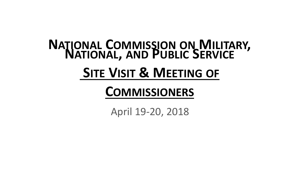# **<sup>N</sup>ATIONAL <sup>C</sup>OMMISSION ON <sup>M</sup>ILITARY, NATIONAL, AND <sup>P</sup>UBLIC <sup>S</sup>ERVICE SITE VISIT & MEETING OF**

### **COMMISSIONERS**

April 19-20, 2018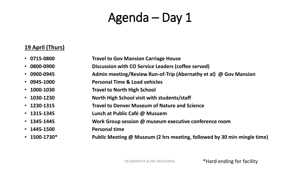### Agenda – Day 1

#### **19 April (Thurs)**

|  | $\cdot$ 0715-0800 | <b>Travel to Gov Mansion Carriage House</b> |
|--|-------------------|---------------------------------------------|
|--|-------------------|---------------------------------------------|

- **0800-0900 Discussion with CO Service Leaders (coffee served)**
- **0900-0945 Admin meeting/Review Run-of-Trip (Abernathy et al) @ Gov Mansion**
- **0945-1000 Personal Time & Load vehicles**
- **1000-1030 Travel to North High School**
- **1030-1230 North High School visit with students/staff**
- **1230-1315 Travel to Denver Museum of Nature and Science**
- **1315-1345 Lunch at Public Café @ Musuem**
- **1345-1445 Work Group session @ museum executive conference room**
- **1445-1500 Personal time**
- **1500-1730\* Public Meeting @ Museum (2 hrs meeting, followed by 30 min mingle time)**